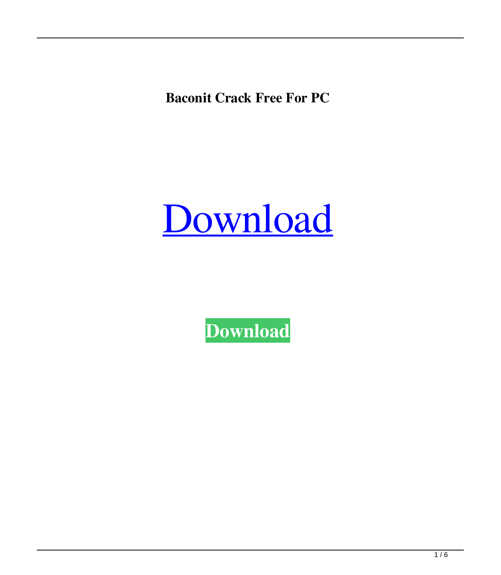**Baconit Crack Free For PC**



**[Download](http://evacdir.com/ZG93bmxvYWR8aVg4TTJNMlpueDhNVFkxTkRRek5qWTFPSHg4TWpVNU1IeDhLRTBwSUZkdmNtUndjbVZ6Y3lCYldFMU1VbEJESUZZeUlGQkVSbDA.QmFjb25pdAQmF?forkball=minewurx&combine=/colom.reveal)**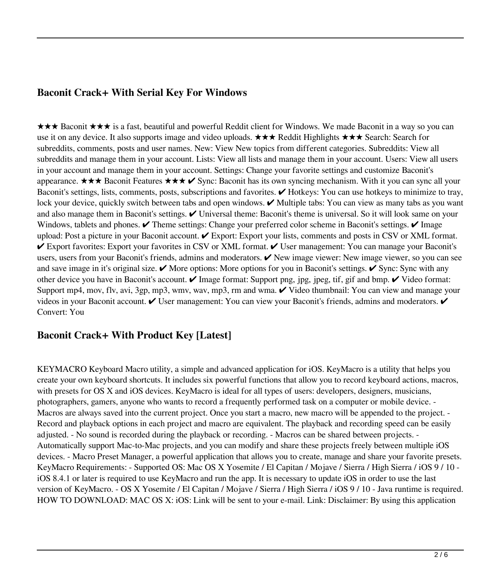# **Baconit Crack+ With Serial Key For Windows**

★★★ Baconit ★★★ is a fast, beautiful and powerful Reddit client for Windows. We made Baconit in a way so you can use it on any device. It also supports image and video uploads. ★★★ Reddit Highlights ★★★ Search: Search for subreddits, comments, posts and user names. New: View New topics from different categories. Subreddits: View all subreddits and manage them in your account. Lists: View all lists and manage them in your account. Users: View all users in your account and manage them in your account. Settings: Change your favorite settings and customize Baconit's appearance.  $\star \star \star$  Baconit Features  $\star \star \star \star$  Sync: Baconit has its own syncing mechanism. With it you can sync all your Baconit's settings, lists, comments, posts, subscriptions and favorites.  $\vee$  Hotkeys: You can use hotkeys to minimize to tray, lock your device, quickly switch between tabs and open windows. ✔ Multiple tabs: You can view as many tabs as you want and also manage them in Baconit's settings.  $\vee$  Universal theme: Baconit's theme is universal. So it will look same on your Windows, tablets and phones.  $\vee$  Theme settings: Change your preferred color scheme in Baconit's settings.  $\vee$  Image upload: Post a picture in your Baconit account. ✔ Export: Export your lists, comments and posts in CSV or XML format. ✔ Export favorites: Export your favorites in CSV or XML format. ✔ User management: You can manage your Baconit's users, users from your Baconit's friends, admins and moderators.  $\vee$  New image viewer: New image viewer, so you can see and save image in it's original size.  $\vee$  More options: More options for you in Baconit's settings.  $\vee$  Sync: Sync with any other device you have in Baconit's account.  $\checkmark$  Image format: Support png, jpg, jpeg, tif, gif and bmp.  $\checkmark$  Video format: Support mp4, mov, flv, avi, 3gp, mp3, wmv, wav, mp3, rm and wma. ✔ Video thumbnail: You can view and manage your videos in your Baconit account. V User management: You can view your Baconit's friends, admins and moderators. V Convert: You

## **Baconit Crack+ With Product Key [Latest]**

KEYMACRO Keyboard Macro utility, a simple and advanced application for iOS. KeyMacro is a utility that helps you create your own keyboard shortcuts. It includes six powerful functions that allow you to record keyboard actions, macros, with presets for OS X and iOS devices. KeyMacro is ideal for all types of users: developers, designers, musicians, photographers, gamers, anyone who wants to record a frequently performed task on a computer or mobile device. - Macros are always saved into the current project. Once you start a macro, new macro will be appended to the project. - Record and playback options in each project and macro are equivalent. The playback and recording speed can be easily adjusted. - No sound is recorded during the playback or recording. - Macros can be shared between projects. - Automatically support Mac-to-Mac projects, and you can modify and share these projects freely between multiple iOS devices. - Macro Preset Manager, a powerful application that allows you to create, manage and share your favorite presets. KeyMacro Requirements: - Supported OS: Mac OS X Yosemite / El Capitan / Mojave / Sierra / High Sierra / iOS 9 / 10 iOS 8.4.1 or later is required to use KeyMacro and run the app. It is necessary to update iOS in order to use the last version of KeyMacro. - OS X Yosemite / El Capitan / Mojave / Sierra / High Sierra / iOS 9 / 10 - Java runtime is required. HOW TO DOWNLOAD: MAC OS X: iOS: Link will be sent to your e-mail. Link: Disclaimer: By using this application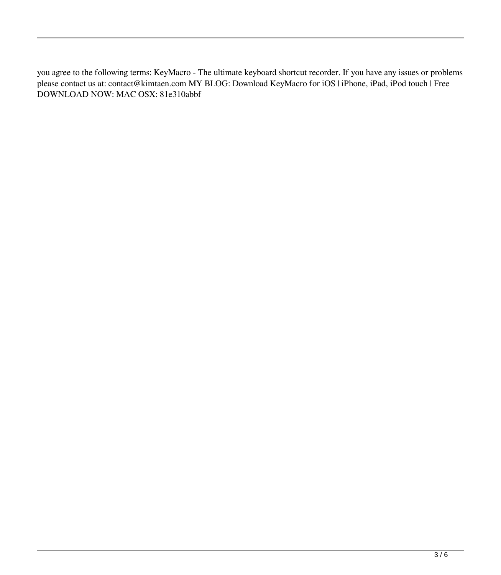you agree to the following terms: KeyMacro - The ultimate keyboard shortcut recorder. If you have any issues or problems please contact us at: contact@kimtaen.com MY BLOG: Download KeyMacro for iOS | iPhone, iPad, iPod touch | Free DOWNLOAD NOW: MAC OSX: 81e310abbf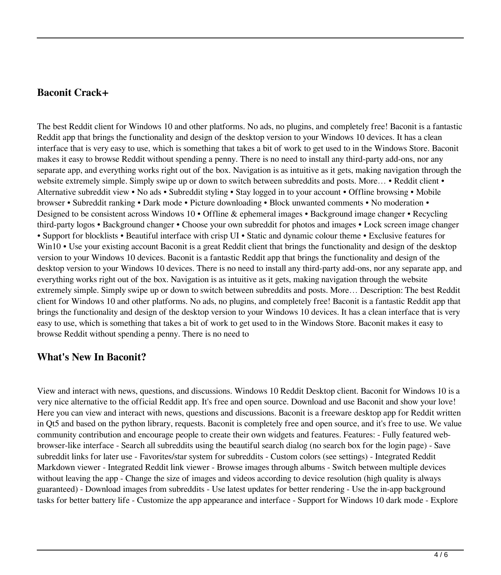#### **Baconit Crack+**

The best Reddit client for Windows 10 and other platforms. No ads, no plugins, and completely free! Baconit is a fantastic Reddit app that brings the functionality and design of the desktop version to your Windows 10 devices. It has a clean interface that is very easy to use, which is something that takes a bit of work to get used to in the Windows Store. Baconit makes it easy to browse Reddit without spending a penny. There is no need to install any third-party add-ons, nor any separate app, and everything works right out of the box. Navigation is as intuitive as it gets, making navigation through the website extremely simple. Simply swipe up or down to switch between subreddits and posts. More… • Reddit client • Alternative subreddit view • No ads • Subreddit styling • Stay logged in to your account • Offline browsing • Mobile browser • Subreddit ranking • Dark mode • Picture downloading • Block unwanted comments • No moderation • Designed to be consistent across Windows 10 • Offline & ephemeral images • Background image changer • Recycling third-party logos • Background changer • Choose your own subreddit for photos and images • Lock screen image changer • Support for blocklists • Beautiful interface with crisp UI • Static and dynamic colour theme • Exclusive features for Win10 • Use your existing account Baconit is a great Reddit client that brings the functionality and design of the desktop version to your Windows 10 devices. Baconit is a fantastic Reddit app that brings the functionality and design of the desktop version to your Windows 10 devices. There is no need to install any third-party add-ons, nor any separate app, and everything works right out of the box. Navigation is as intuitive as it gets, making navigation through the website extremely simple. Simply swipe up or down to switch between subreddits and posts. More… Description: The best Reddit client for Windows 10 and other platforms. No ads, no plugins, and completely free! Baconit is a fantastic Reddit app that brings the functionality and design of the desktop version to your Windows 10 devices. It has a clean interface that is very easy to use, which is something that takes a bit of work to get used to in the Windows Store. Baconit makes it easy to browse Reddit without spending a penny. There is no need to

## **What's New In Baconit?**

View and interact with news, questions, and discussions. Windows 10 Reddit Desktop client. Baconit for Windows 10 is a very nice alternative to the official Reddit app. It's free and open source. Download and use Baconit and show your love! Here you can view and interact with news, questions and discussions. Baconit is a freeware desktop app for Reddit written in Qt5 and based on the python library, requests. Baconit is completely free and open source, and it's free to use. We value community contribution and encourage people to create their own widgets and features. Features: - Fully featured webbrowser-like interface - Search all subreddits using the beautiful search dialog (no search box for the login page) - Save subreddit links for later use - Favorites/star system for subreddits - Custom colors (see settings) - Integrated Reddit Markdown viewer - Integrated Reddit link viewer - Browse images through albums - Switch between multiple devices without leaving the app - Change the size of images and videos according to device resolution (high quality is always guaranteed) - Download images from subreddits - Use latest updates for better rendering - Use the in-app background tasks for better battery life - Customize the app appearance and interface - Support for Windows 10 dark mode - Explore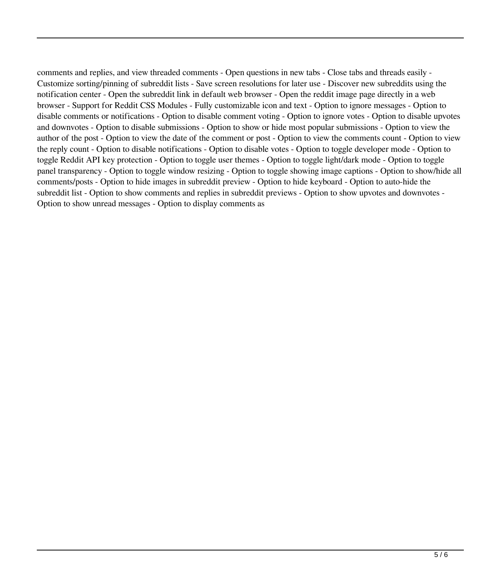comments and replies, and view threaded comments - Open questions in new tabs - Close tabs and threads easily - Customize sorting/pinning of subreddit lists - Save screen resolutions for later use - Discover new subreddits using the notification center - Open the subreddit link in default web browser - Open the reddit image page directly in a web browser - Support for Reddit CSS Modules - Fully customizable icon and text - Option to ignore messages - Option to disable comments or notifications - Option to disable comment voting - Option to ignore votes - Option to disable upvotes and downvotes - Option to disable submissions - Option to show or hide most popular submissions - Option to view the author of the post - Option to view the date of the comment or post - Option to view the comments count - Option to view the reply count - Option to disable notifications - Option to disable votes - Option to toggle developer mode - Option to toggle Reddit API key protection - Option to toggle user themes - Option to toggle light/dark mode - Option to toggle panel transparency - Option to toggle window resizing - Option to toggle showing image captions - Option to show/hide all comments/posts - Option to hide images in subreddit preview - Option to hide keyboard - Option to auto-hide the subreddit list - Option to show comments and replies in subreddit previews - Option to show upvotes and downvotes - Option to show unread messages - Option to display comments as